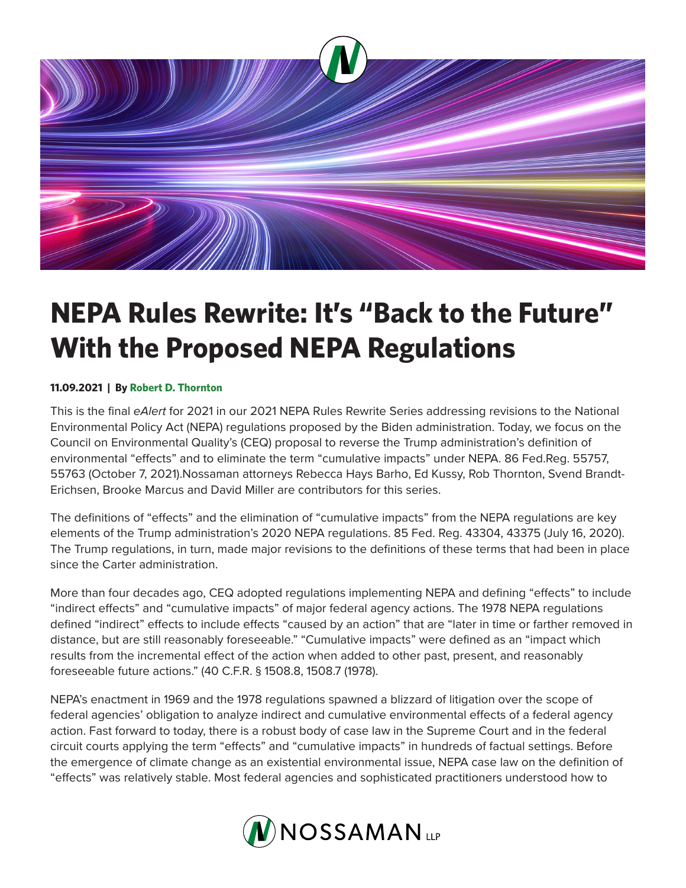

## **NEPA Rules Rewrite: It's "Back to the Future" With the Proposed NEPA Regulations**

## **11.09.2021 | By Robert D. Thornton**

This is the final *eAlert* for 2021 in our 2021 NEPA Rules Rewrite Series addressing revisions to the National Environmental Policy Act (NEPA) regulations proposed by the Biden administration. Today, we focus on the Council on Environmental Quality's (CEQ) proposal to reverse the Trump administration's definition of environmental "effects" and to eliminate the term "cumulative impacts" under NEPA. 86 Fed.Reg. 55757, 55763 (October 7, 2021).Nossaman attorneys Rebecca Hays Barho, Ed Kussy, Rob Thornton, Svend Brandt-Erichsen, Brooke Marcus and David Miller are contributors for this series.

The definitions of "effects" and the elimination of "cumulative impacts" from the NEPA regulations are key elements of the Trump administration's 2020 NEPA regulations. 85 Fed. Reg. 43304, 43375 (July 16, 2020). The Trump regulations, in turn, made major revisions to the definitions of these terms that had been in place since the Carter administration.

More than four decades ago, CEQ adopted regulations implementing NEPA and defining "effects" to include "indirect effects" and "cumulative impacts" of major federal agency actions. The 1978 NEPA regulations defined "indirect" effects to include effects "caused by an action" that are "later in time or farther removed in distance, but are still reasonably foreseeable." "Cumulative impacts" were defined as an "impact which results from the incremental effect of the action when added to other past, present, and reasonably foreseeable future actions." (40 C.F.R. § 1508.8, 1508.7 (1978).

NEPA's enactment in 1969 and the 1978 regulations spawned a blizzard of litigation over the scope of federal agencies' obligation to analyze indirect and cumulative environmental effects of a federal agency action. Fast forward to today, there is a robust body of case law in the Supreme Court and in the federal circuit courts applying the term "effects" and "cumulative impacts" in hundreds of factual settings. Before the emergence of climate change as an existential environmental issue, NEPA case law on the definition of "effects" was relatively stable. Most federal agencies and sophisticated practitioners understood how to

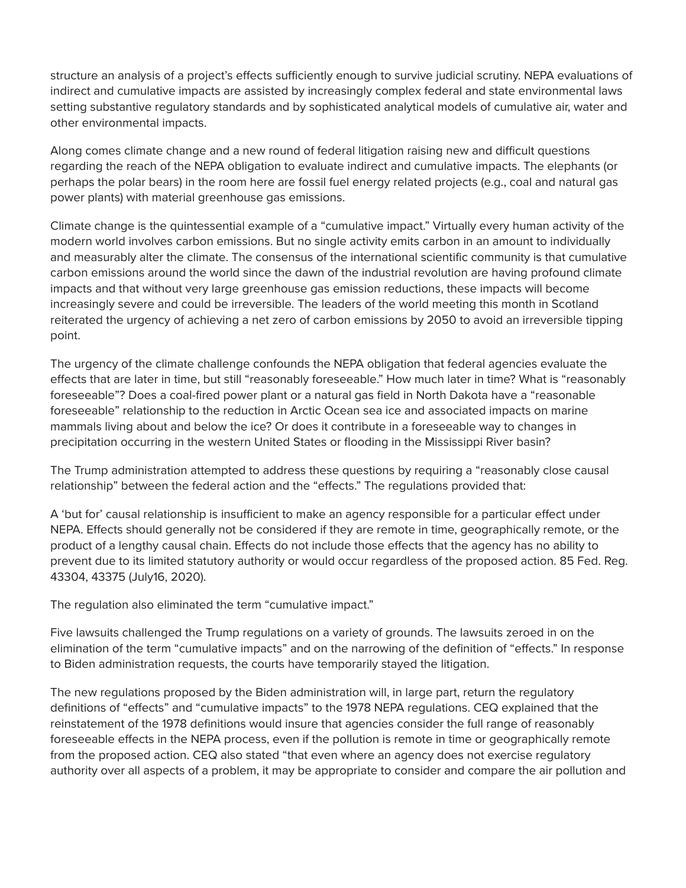structure an analysis of a project's effects sufficiently enough to survive judicial scrutiny. NEPA evaluations of indirect and cumulative impacts are assisted by increasingly complex federal and state environmental laws setting substantive regulatory standards and by sophisticated analytical models of cumulative air, water and other environmental impacts.

Along comes climate change and a new round of federal litigation raising new and difficult questions regarding the reach of the NEPA obligation to evaluate indirect and cumulative impacts. The elephants (or perhaps the polar bears) in the room here are fossil fuel energy related projects (e.g., coal and natural gas power plants) with material greenhouse gas emissions.

Climate change is the quintessential example of a "cumulative impact." Virtually every human activity of the modern world involves carbon emissions. But no single activity emits carbon in an amount to individually and measurably alter the climate. The consensus of the international scientific community is that cumulative carbon emissions around the world since the dawn of the industrial revolution are having profound climate impacts and that without very large greenhouse gas emission reductions, these impacts will become increasingly severe and could be irreversible. The leaders of the world meeting this month in Scotland reiterated the urgency of achieving a net zero of carbon emissions by 2050 to avoid an irreversible tipping point.

The urgency of the climate challenge confounds the NEPA obligation that federal agencies evaluate the effects that are later in time, but still "reasonably foreseeable." How much later in time? What is "reasonably foreseeable"? Does a coal-fired power plant or a natural gas field in North Dakota have a "reasonable foreseeable" relationship to the reduction in Arctic Ocean sea ice and associated impacts on marine mammals living about and below the ice? Or does it contribute in a foreseeable way to changes in precipitation occurring in the western United States or flooding in the Mississippi River basin?

The Trump administration attempted to address these questions by requiring a "reasonably close causal relationship" between the federal action and the "effects." The regulations provided that:

A 'but for' causal relationship is insufficient to make an agency responsible for a particular effect under NEPA. Effects should generally not be considered if they are remote in time, geographically remote, or the product of a lengthy causal chain. Effects do not include those effects that the agency has no ability to prevent due to its limited statutory authority or would occur regardless of the proposed action. 85 Fed. Reg. 43304, 43375 (July16, 2020).

The regulation also eliminated the term "cumulative impact."

Five lawsuits challenged the Trump regulations on a variety of grounds. The lawsuits zeroed in on the elimination of the term "cumulative impacts" and on the narrowing of the definition of "effects." In response to Biden administration requests, the courts have temporarily stayed the litigation.

The new regulations proposed by the Biden administration will, in large part, return the regulatory definitions of "effects" and "cumulative impacts" to the 1978 NEPA regulations. CEQ explained that the reinstatement of the 1978 definitions would insure that agencies consider the full range of reasonably foreseeable effects in the NEPA process, even if the pollution is remote in time or geographically remote from the proposed action. CEQ also stated "that even where an agency does not exercise regulatory authority over all aspects of a problem, it may be appropriate to consider and compare the air pollution and